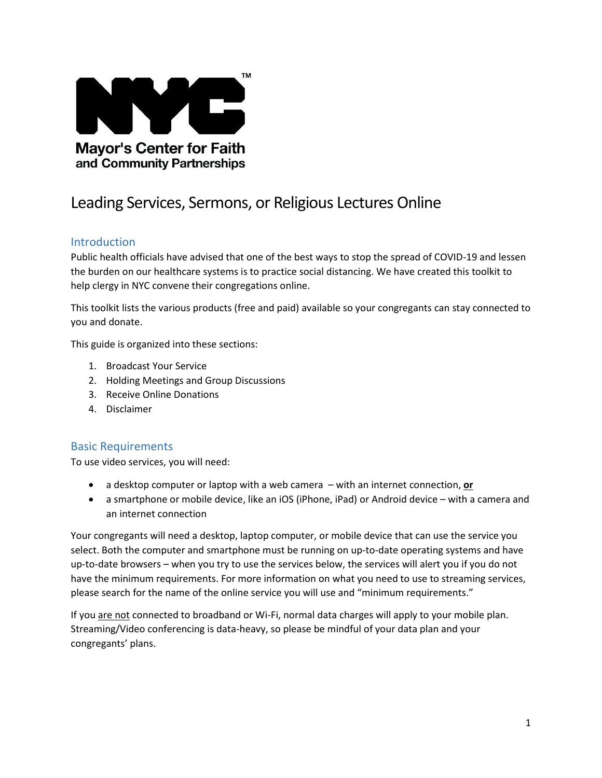

# Leading Services, Sermons, or Religious Lectures Online

# Introduction

Public health officials have advised that one of the best ways to stop the spread of COVID-19 and lessen the burden on our healthcare systems is to practice social distancing. We have created this toolkit to help clergy in NYC convene their congregations online.

This toolkit lists the various products (free and paid) available so your congregants can stay connected to you and donate.

This guide is organized into these sections:

- 1. Broadcast Your Service
- 2. Holding Meetings and Group Discussions
- 3. Receive Online Donations
- 4. Disclaimer

# Basic Requirements

To use video services, you will need:

- a desktop computer or laptop with a web camera with an internet connection, **or**
- a smartphone or mobile device, like an iOS (iPhone, iPad) or Android device with a camera and an internet connection

Your congregants will need a desktop, laptop computer, or mobile device that can use the service you select. Both the computer and smartphone must be running on up-to-date operating systems and have up-to-date browsers – when you try to use the services below, the services will alert you if you do not have the minimum requirements. For more information on what you need to use to streaming services, please search for the name of the online service you will use and "minimum requirements."

If you are not connected to broadband or Wi-Fi, normal data charges will apply to your mobile plan. Streaming/Video conferencing is data-heavy, so please be mindful of your data plan and your congregants' plans.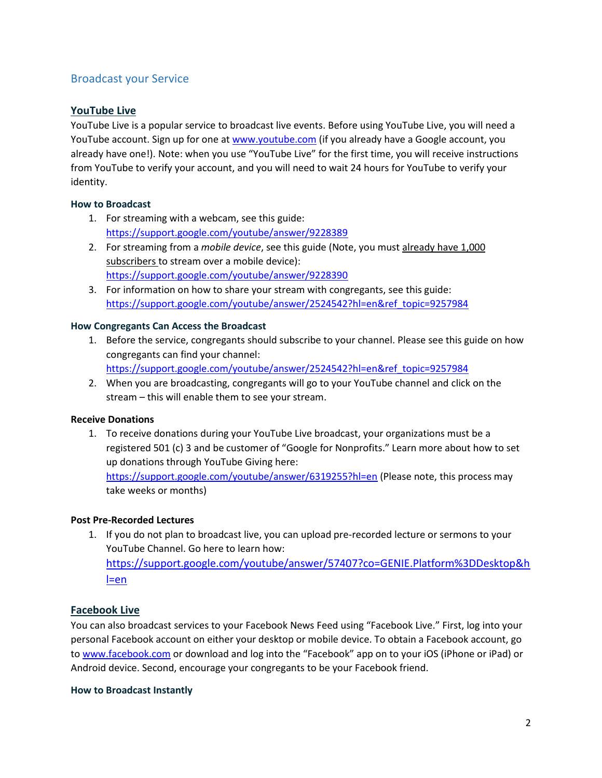# Broadcast your Service

# **YouTube Live**

YouTube Live is a popular service to broadcast live events. Before using YouTube Live, you will need a YouTube account. Sign up for one at [www.youtube.com](http://www.youtube.com/) (if you already have a Google account, you already have one!). Note: when you use "YouTube Live" for the first time, you will receive instructions from YouTube to verify your account, and you will need to wait 24 hours for YouTube to verify your identity.

## **How to Broadcast**

- 1. For streaming with a webcam, see this guide: <https://support.google.com/youtube/answer/9228389>
- 2. For streaming from a *mobile device*, see this guide (Note, you must already have 1,000 subscribers to stream over a mobile device): <https://support.google.com/youtube/answer/9228390>
- 3. For information on how to share your stream with congregants, see this guide: [https://support.google.com/youtube/answer/2524542?hl=en&ref\\_topic=9257984](https://support.google.com/youtube/answer/2524542?hl=en&ref_topic=9257984)

## **How Congregants Can Access the Broadcast**

- 1. Before the service, congregants should subscribe to your channel. Please see this guide on how congregants can find your channel: [https://support.google.com/youtube/answer/2524542?hl=en&ref\\_topic=9257984](https://support.google.com/youtube/answer/2524542?hl=en&ref_topic=9257984)
- 2. When you are broadcasting, congregants will go to your YouTube channel and click on the stream – this will enable them to see your stream.

#### **Receive Donations**

1. To receive donations during your YouTube Live broadcast, your organizations must be a registered 501 (c) 3 and be customer of "Google for Nonprofits." Learn more about how to set up donations through YouTube Giving here:

<https://support.google.com/youtube/answer/6319255?hl=en> (Please note, this process may take weeks or months)

#### **Post Pre-Recorded Lectures**

1. If you do not plan to broadcast live, you can upload pre-recorded lecture or sermons to your YouTube Channel. Go here to learn how: [https://support.google.com/youtube/answer/57407?co=GENIE.Platform%3DDesktop&h](https://support.google.com/youtube/answer/57407?co=GENIE.Platform%3DDesktop&hl=en)

[l=en](https://support.google.com/youtube/answer/57407?co=GENIE.Platform%3DDesktop&hl=en)

# **Facebook Live**

You can also broadcast services to your Facebook News Feed using "Facebook Live." First, log into your personal Facebook account on either your desktop or mobile device. To obtain a Facebook account, go to [www.facebook.com](http://www.facebook.com/) or download and log into the "Facebook" app on to your iOS (iPhone or iPad) or Android device. Second, encourage your congregants to be your Facebook friend.

#### **How to Broadcast Instantly**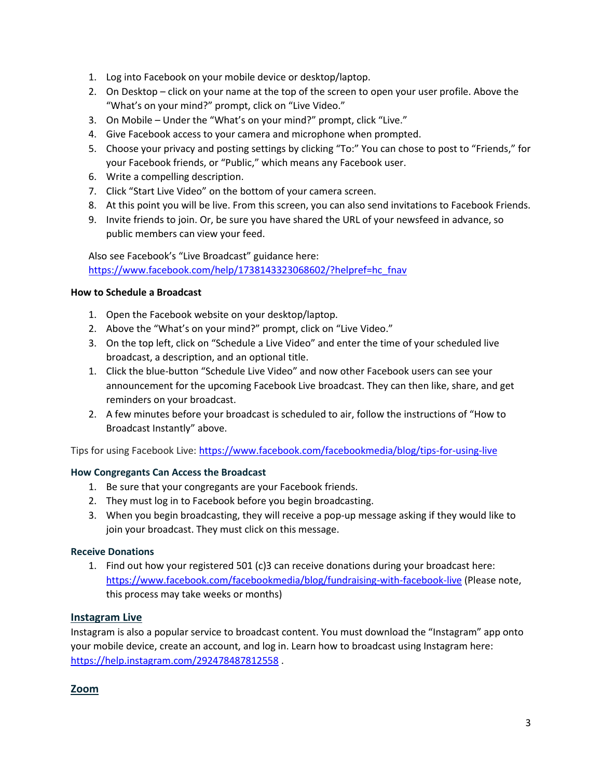- 1. Log into Facebook on your mobile device or desktop/laptop.
- 2. On Desktop click on your name at the top of the screen to open your user profile. Above the "What's on your mind?" prompt, click on "Live Video."
- 3. On Mobile Under the "What's on your mind?" prompt, click "Live."
- 4. Give Facebook access to your camera and microphone when prompted.
- 5. Choose your privacy and posting settings by clicking "To:" You can chose to post to "Friends," for your Facebook friends, or "Public," which means any Facebook user.
- 6. Write a compelling description.
- 7. Click "Start Live Video" on the bottom of your camera screen.
- 8. At this point you will be live. From this screen, you can also send invitations to Facebook Friends.
- 9. Invite friends to join. Or, be sure you have shared the URL of your newsfeed in advance, so public members can view your feed.

Also see Facebook's "Live Broadcast" guidance here: [https://www.facebook.com/help/1738143323068602/?helpref=hc\\_fnav](https://www.facebook.com/help/1738143323068602/?helpref=hc_fnav)

## **How to Schedule a Broadcast**

- 1. Open the Facebook website on your desktop/laptop.
- 2. Above the "What's on your mind?" prompt, click on "Live Video."
- 3. On the top left, click on "Schedule a Live Video" and enter the time of your scheduled live broadcast, a description, and an optional title.
- 1. Click the blue-button "Schedule Live Video" and now other Facebook users can see your announcement for the upcoming Facebook Live broadcast. They can then like, share, and get reminders on your broadcast.
- 2. A few minutes before your broadcast is scheduled to air, follow the instructions of "How to Broadcast Instantly" above.

Tips for using Facebook Live: <https://www.facebook.com/facebookmedia/blog/tips-for-using-live>

# **How Congregants Can Access the Broadcast**

- 1. Be sure that your congregants are your Facebook friends.
- 2. They must log in to Facebook before you begin broadcasting.
- 3. When you begin broadcasting, they will receive a pop-up message asking if they would like to join your broadcast. They must click on this message.

#### **Receive Donations**

1. Find out how your registered 501 (c)3 can receive donations during your broadcast here: <https://www.facebook.com/facebookmedia/blog/fundraising-with-facebook-live> (Please note, this process may take weeks or months)

# **Instagram Live**

Instagram is also a popular service to broadcast content. You must download the "Instagram" app onto your mobile device, create an account, and log in. Learn how to broadcast using Instagram here: <https://help.instagram.com/292478487812558> .

# **[Zoom](https://zoom.us/)**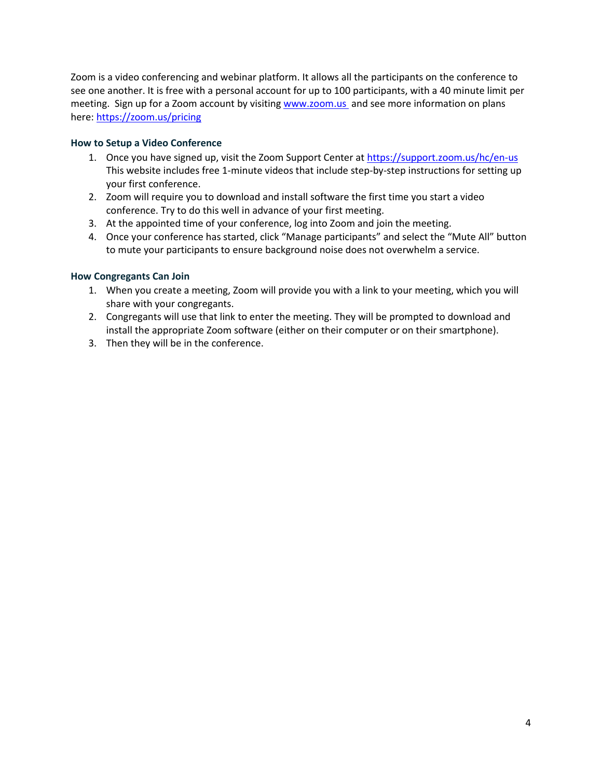Zoom is a video conferencing and webinar platform. It allows all the participants on the conference to see one another. It is free with a personal account for up to 100 participants, with a 40 minute limit per meeting. Sign up for a Zoom account by visiting [www.zoom.us](http://www.zoom.us/) and see more information on plans here:<https://zoom.us/pricing>

#### **How to Setup a Video Conference**

- 1. Once you have signed up, visit the Zoom Support Center at<https://support.zoom.us/hc/en-us> This website includes free 1-minute videos that include step-by-step instructions for setting up your first conference.
- 2. Zoom will require you to download and install software the first time you start a video conference. Try to do this well in advance of your first meeting.
- 3. At the appointed time of your conference, log into Zoom and join the meeting.
- 4. Once your conference has started, click "Manage participants" and select the "Mute All" button to mute your participants to ensure background noise does not overwhelm a service.

#### **How Congregants Can Join**

- 1. When you create a meeting, Zoom will provide you with a link to your meeting, which you will share with your congregants.
- 2. Congregants will use that link to enter the meeting. They will be prompted to download and install the appropriate Zoom software (either on their computer or on their smartphone).
- 3. Then they will be in the conference.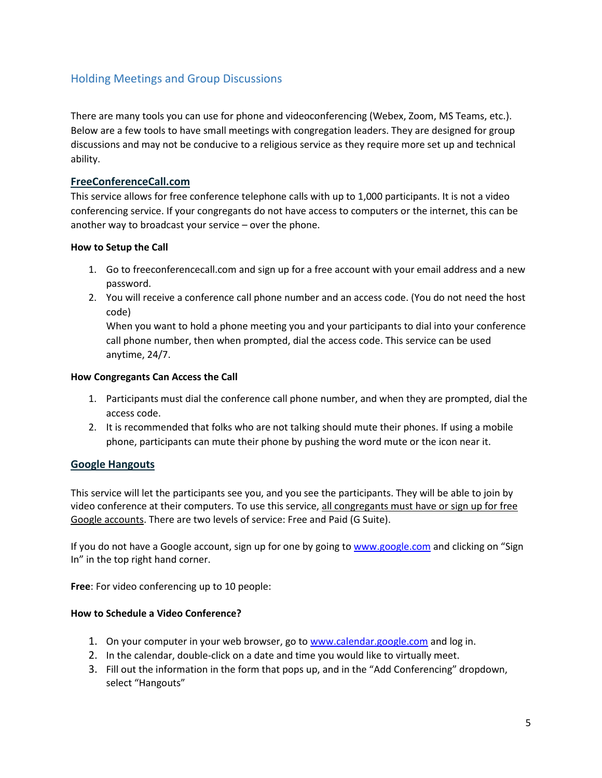# Holding Meetings and Group Discussions

There are many tools you can use for phone and videoconferencing (Webex, Zoom, MS Teams, etc.). Below are a few tools to have small meetings with congregation leaders. They are designed for group discussions and may not be conducive to a religious service as they require more set up and technical ability.

## **FreeConferenceCall.com**

This service allows for free conference telephone calls with up to 1,000 participants. It is not a video conferencing service. If your congregants do not have access to computers or the internet, this can be another way to broadcast your service – over the phone.

#### **How to Setup the Call**

- 1. Go to freeconferencecall.com and sign up for a free account with your email address and a new password.
- 2. You will receive a conference call phone number and an access code. (You do not need the host code)

When you want to hold a phone meeting you and your participants to dial into your conference call phone number, then when prompted, dial the access code. This service can be used anytime, 24/7.

#### **How Congregants Can Access the Call**

- 1. Participants must dial the conference call phone number, and when they are prompted, dial the access code.
- 2. It is recommended that folks who are not talking should mute their phones. If using a mobile phone, participants can mute their phone by pushing the word mute or the icon near it.

#### **[Google Hangouts](https://cloud.google.com/blog/products/g-suite/helping-businesses-and-schools-stay-connected-in-response-to-coronavirus)**

This service will let the participants see you, and you see the participants. They will be able to join by video conference at their computers. To use this service, all congregants must have or sign up for free Google accounts. There are two levels of service: Free and Paid (G Suite).

If you do not have a Google account, sign up for one by going to [www.google.com](http://www.google.com/) and clicking on "Sign In" in the top right hand corner.

**Free**: For video conferencing up to 10 people:

#### **How to Schedule a Video Conference?**

- 1. On your computer in your web browser, go t[o www.calendar.google.com](file:///C:/Users/apulido/AppData/Local/Microsoft/Windows/INetCache/Content.Outlook/28LEALM2/www.calendar.google.com) and log in.
- 2. In the calendar, double-click on a date and time you would like to virtually meet.
- 3. Fill out the information in the form that pops up, and in the "Add Conferencing" dropdown, select "Hangouts"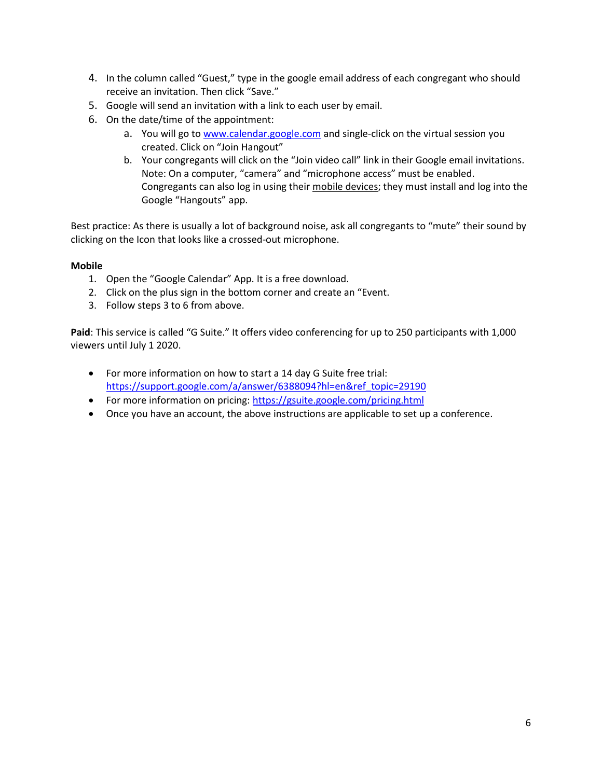- 4. In the column called "Guest," type in the google email address of each congregant who should receive an invitation. Then click "Save."
- 5. Google will send an invitation with a link to each user by email.
- 6. On the date/time of the appointment:
	- a. You will go to [www.calendar.google.com](file:///C:/Users/apulido/Desktop/Albert%20Personal/0%20Weekly%20Flags%20-%20DMO/www.calendar.google.com) and single-click on the virtual session you created. Click on "Join Hangout"
	- b. Your congregants will click on the "Join video call" link in their Google email invitations. Note: On a computer, "camera" and "microphone access" must be enabled. Congregants can also log in using their mobile devices; they must install and log into the Google "Hangouts" app.

Best practice: As there is usually a lot of background noise, ask all congregants to "mute" their sound by clicking on the Icon that looks like a crossed-out microphone.

#### **Mobile**

- 1. Open the "Google Calendar" App. It is a free download.
- 2. Click on the plus sign in the bottom corner and create an "Event.
- 3. Follow steps 3 to 6 from above.

**Paid**: This service is called "G Suite." It offers video conferencing for up to 250 participants with 1,000 viewers [until July 1 2020.](https://cloud.google.com/blog/products/g-suite/helping-businesses-and-schools-stay-connected-in-response-to-coronavirus)

- For more information on how to start a 14 day G Suite free trial: [https://support.google.com/a/answer/6388094?hl=en&ref\\_topic=29190](https://support.google.com/a/answer/6388094?hl=en&ref_topic=29190)
- For more information on pricing:<https://gsuite.google.com/pricing.html>
- Once you have an account, the above instructions are applicable to set up a conference.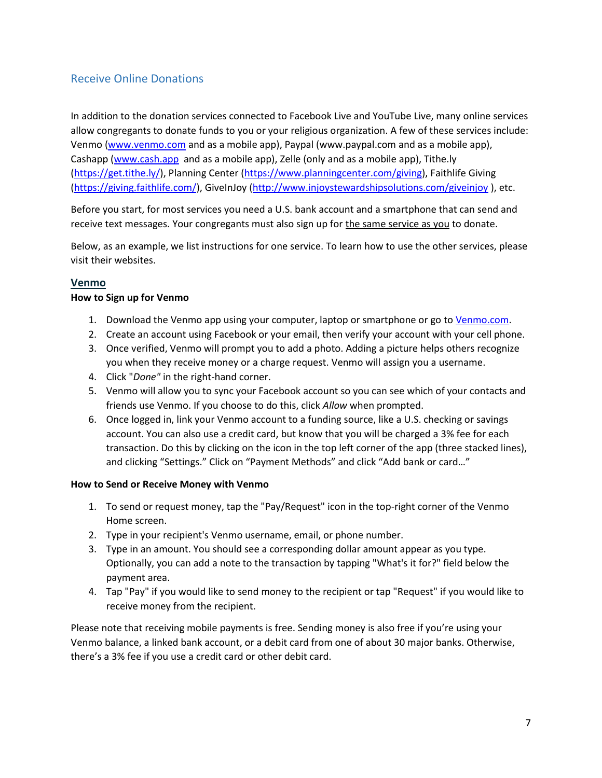# Receive Online Donations

In addition to the donation services connected to Facebook Live and YouTube Live, many online services allow congregants to donate funds to you or your religious organization. A few of these services include: Venmo [\(www.venmo.com](http://www.venmo.com/) and as a mobile app), Paypal (www.paypal.com and as a mobile app), Cashapp [\(www.cash.app](http://www.cash.app/) and as a mobile app), Zelle (only and as a mobile app), Tithe.ly [\(https://get.tithe.ly/\)](https://get.tithe.ly/), Planning Center [\(https://www.planningcenter.com/giving\)](https://www.planningcenter.com/giving), Faithlife Giving [\(https://giving.faithlife.com/\)](https://giving.faithlife.com/), GiveInJoy [\(http://www.injoystewardshipsolutions.com/giveinjoy](http://www.injoystewardshipsolutions.com/giveinjoy) ), etc.

Before you start, for most services you need a U.S. bank account and a smartphone that can send and receive text messages. Your congregants must also sign up for the same service as you to donate.

Below, as an example, we list instructions for one service. To learn how to use the other services, please visit their websites.

# **Venmo**

## **How to Sign up for Venmo**

- 1. Download the Venmo app using your computer, laptop or smartphone or go t[o Venmo.com.](http://venmo.com/)
- 2. Create an account using Facebook or your email, then verify your account with your cell phone.
- 3. Once verified, Venmo will prompt you to add a photo. Adding a picture helps others recognize you when they receive money or a charge request. Venmo will assign you a username.
- 4. Click "*Done"* in the right-hand corner.
- 5. Venmo will allow you to sync your Facebook account so you can see which of your contacts and friends use Venmo. If you choose to do this, click *Allow* when prompted.
- 6. Once logged in, link your Venmo account to a funding source, like a U.S. checking or savings account. You can also use a credit card, but know that you will be charged a 3% fee for each transaction. Do this by clicking on the icon in the top left corner of the app (three stacked lines), and clicking "Settings." Click on "Payment Methods" and click "Add bank or card…"

#### **How to Send or Receive Money with Venmo**

- 1. To send or request money, tap the "Pay/Request" icon in the top-right corner of the Venmo Home screen.
- 2. Type in your recipient's Venmo username, email, or phone number.
- 3. Type in an amount. You should see a corresponding dollar amount appear as you type. Optionally, you can add a note to the transaction by tapping "What's it for?" field below the payment area.
- 4. Tap "Pay" if you would like to send money to the recipient or tap "Request" if you would like to receive money from the recipient.

Please note that receiving mobile payments is free. Sending money is also free if you're using your Venmo balance, a linked bank account, or a debit card from one of about 30 major banks. Otherwise, there's a 3% fee if you use a credit card or other debit card.